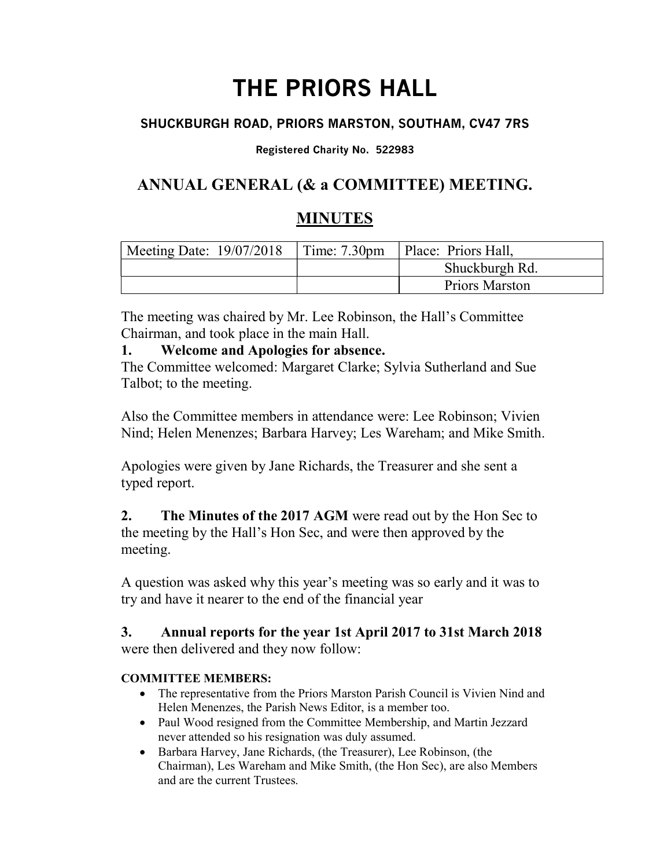# THE PRIORS HALL

## SHUCKBURGH ROAD, PRIORS MARSTON, SOUTHAM, CV47 7RS

#### Registered Charity No. 522983

# ANNUAL GENERAL (& a COMMITTEE) MEETING.

# MINUTES

| Meeting Date: $19/07/2018$ | $\vert$ Time: 7.30pm $\vert$ Place: Priors Hall, |
|----------------------------|--------------------------------------------------|
|                            | Shuckburgh Rd.                                   |
|                            | Priors Marston                                   |

The meeting was chaired by Mr. Lee Robinson, the Hall's Committee Chairman, and took place in the main Hall.

## 1. Welcome and Apologies for absence.

The Committee welcomed: Margaret Clarke; Sylvia Sutherland and Sue Talbot; to the meeting.

Also the Committee members in attendance were: Lee Robinson; Vivien Nind; Helen Menenzes; Barbara Harvey; Les Wareham; and Mike Smith.

Apologies were given by Jane Richards, the Treasurer and she sent a typed report.

2. The Minutes of the 2017 AGM were read out by the Hon Sec to the meeting by the Hall's Hon Sec, and were then approved by the meeting.

A question was asked why this year's meeting was so early and it was to try and have it nearer to the end of the financial year

## 3. Annual reports for the year 1st April 2017 to 31st March 2018 were then delivered and they now follow:

#### COMMITTEE MEMBERS:

- The representative from the Priors Marston Parish Council is Vivien Nind and Helen Menenzes, the Parish News Editor, is a member too.
- Paul Wood resigned from the Committee Membership, and Martin Jezzard never attended so his resignation was duly assumed.
- Barbara Harvey, Jane Richards, (the Treasurer), Lee Robinson, (the Chairman), Les Wareham and Mike Smith, (the Hon Sec), are also Members and are the current Trustees.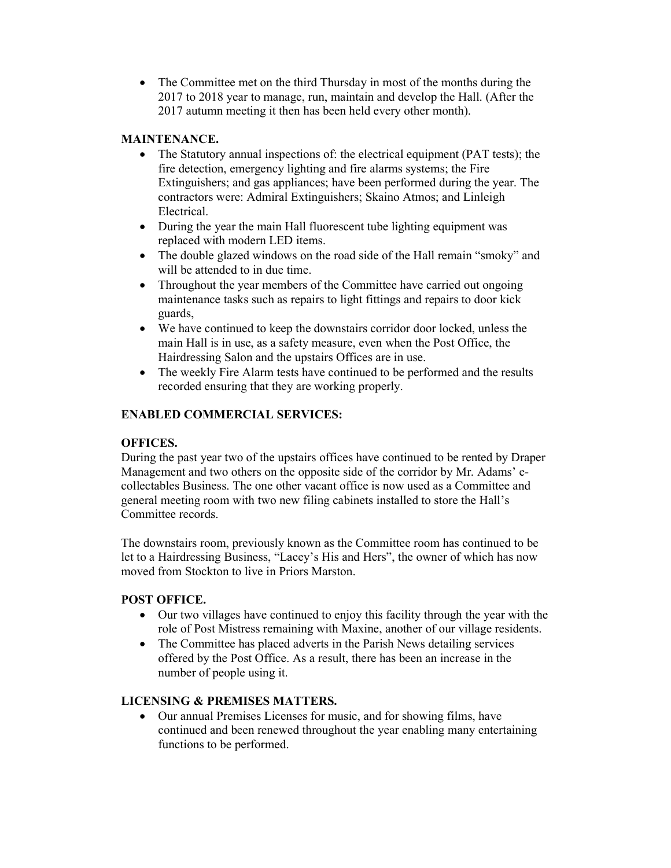• The Committee met on the third Thursday in most of the months during the 2017 to 2018 year to manage, run, maintain and develop the Hall. (After the 2017 autumn meeting it then has been held every other month).

#### MAINTENANCE.

- The Statutory annual inspections of: the electrical equipment (PAT tests); the fire detection, emergency lighting and fire alarms systems; the Fire Extinguishers; and gas appliances; have been performed during the year. The contractors were: Admiral Extinguishers; Skaino Atmos; and Linleigh Electrical.
- During the year the main Hall fluorescent tube lighting equipment was replaced with modern LED items.
- The double glazed windows on the road side of the Hall remain "smoky" and will be attended to in due time.
- Throughout the year members of the Committee have carried out ongoing maintenance tasks such as repairs to light fittings and repairs to door kick guards,
- We have continued to keep the downstairs corridor door locked, unless the main Hall is in use, as a safety measure, even when the Post Office, the Hairdressing Salon and the upstairs Offices are in use.
- The weekly Fire Alarm tests have continued to be performed and the results recorded ensuring that they are working properly.

#### ENABLED COMMERCIAL SERVICES:

#### OFFICES.

During the past year two of the upstairs offices have continued to be rented by Draper Management and two others on the opposite side of the corridor by Mr. Adams' ecollectables Business. The one other vacant office is now used as a Committee and general meeting room with two new filing cabinets installed to store the Hall's Committee records.

The downstairs room, previously known as the Committee room has continued to be let to a Hairdressing Business, "Lacey's His and Hers", the owner of which has now moved from Stockton to live in Priors Marston.

#### POST OFFICE.

- Our two villages have continued to enjoy this facility through the year with the role of Post Mistress remaining with Maxine, another of our village residents.
- The Committee has placed adverts in the Parish News detailing services offered by the Post Office. As a result, there has been an increase in the number of people using it.

#### LICENSING & PREMISES MATTERS.

 Our annual Premises Licenses for music, and for showing films, have continued and been renewed throughout the year enabling many entertaining functions to be performed.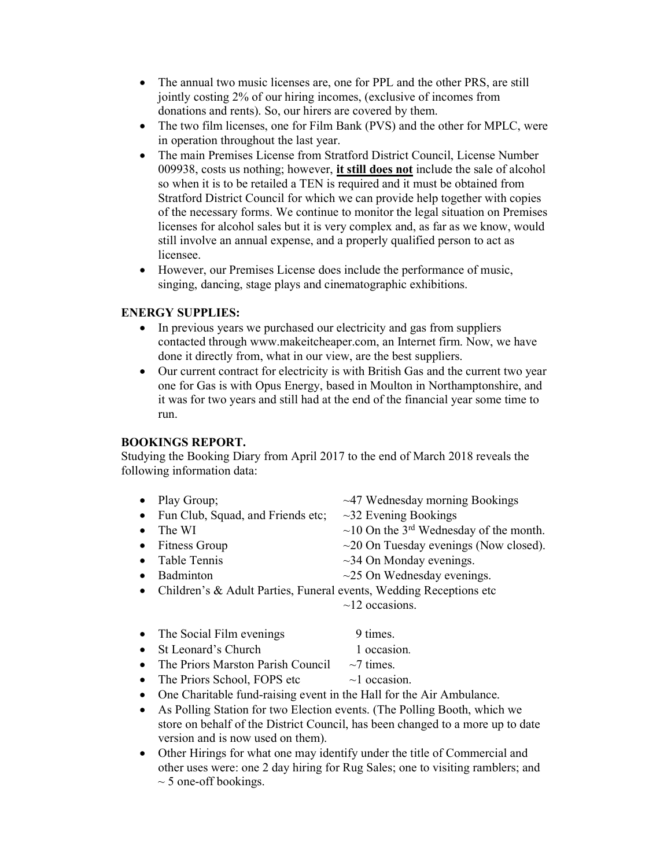- The annual two music licenses are, one for PPL and the other PRS, are still jointly costing 2% of our hiring incomes, (exclusive of incomes from donations and rents). So, our hirers are covered by them.
- The two film licenses, one for Film Bank (PVS) and the other for MPLC, were in operation throughout the last year.
- The main Premises License from Stratford District Council, License Number 009938, costs us nothing; however, it still does not include the sale of alcohol so when it is to be retailed a TEN is required and it must be obtained from Stratford District Council for which we can provide help together with copies of the necessary forms. We continue to monitor the legal situation on Premises licenses for alcohol sales but it is very complex and, as far as we know, would still involve an annual expense, and a properly qualified person to act as licensee.
- However, our Premises License does include the performance of music, singing, dancing, stage plays and cinematographic exhibitions.

#### ENERGY SUPPLIES:

- In previous years we purchased our electricity and gas from suppliers contacted through www.makeitcheaper.com, an Internet firm. Now, we have done it directly from, what in our view, are the best suppliers.
- Our current contract for electricity is with British Gas and the current two year one for Gas is with Opus Energy, based in Moulton in Northamptonshire, and it was for two years and still had at the end of the financial year some time to run.

#### BOOKINGS REPORT.

Studying the Booking Diary from April 2017 to the end of March 2018 reveals the following information data:

| $\bullet$ | Play Group;                                                         | $~1$ <sup>-47</sup> Wednesday morning Bookings           |
|-----------|---------------------------------------------------------------------|----------------------------------------------------------|
| $\bullet$ | Fun Club, Squad, and Friends etc;                                   | $\sim$ 32 Evening Bookings                               |
| $\bullet$ | The WI                                                              | $\sim$ 10 On the 3 <sup>rd</sup> Wednesday of the month. |
| $\bullet$ | Fitness Group                                                       | $\sim$ 20 On Tuesday evenings (Now closed).              |
| $\bullet$ | Table Tennis                                                        | $\sim$ 34 On Monday evenings.                            |
| $\bullet$ | Badminton                                                           | $\sim$ 25 On Wednesday evenings.                         |
| $\bullet$ | Children's & Adult Parties, Funeral events, Wedding Receptions etc. |                                                          |
|           |                                                                     | $\sim$ 12 occasions.                                     |
| $\bullet$ | The Social Film evenings                                            | 9 times.                                                 |
| $\bullet$ | St Leonard's Church                                                 | 1 occasion.                                              |
| $\bullet$ | The Priors Marston Parish Council                                   | $\sim$ 7 times.                                          |
| $\bullet$ | The Priors School, FOPS etc.                                        | $\sim$ l occasion.                                       |
|           |                                                                     |                                                          |

- One Charitable fund-raising event in the Hall for the Air Ambulance.
- As Polling Station for two Election events. (The Polling Booth, which we store on behalf of the District Council, has been changed to a more up to date version and is now used on them).
- Other Hirings for what one may identify under the title of Commercial and other uses were: one 2 day hiring for Rug Sales; one to visiting ramblers; and  $\sim$  5 one-off bookings.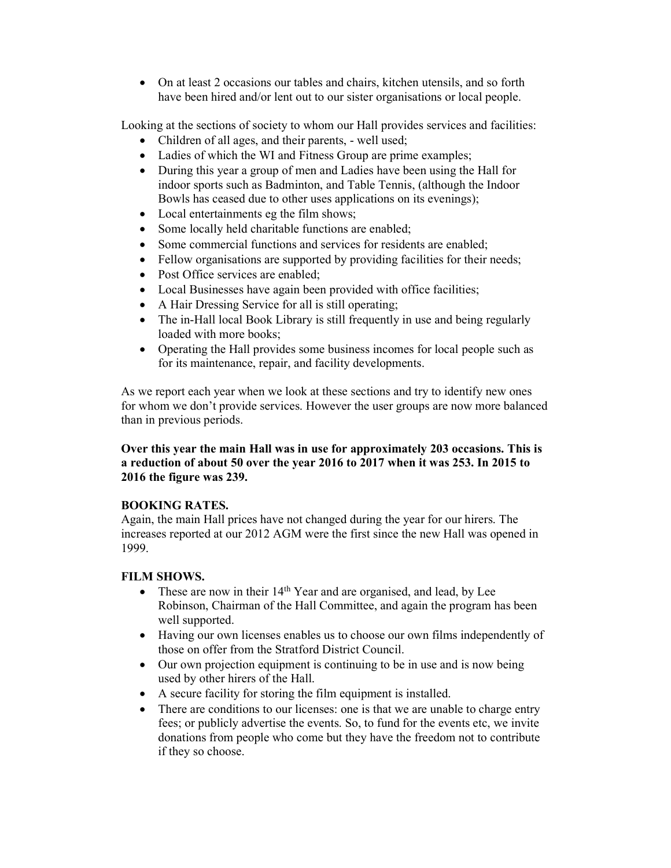On at least 2 occasions our tables and chairs, kitchen utensils, and so forth have been hired and/or lent out to our sister organisations or local people.

Looking at the sections of society to whom our Hall provides services and facilities:

- Children of all ages, and their parents, well used;
- Ladies of which the WI and Fitness Group are prime examples;
- During this year a group of men and Ladies have been using the Hall for indoor sports such as Badminton, and Table Tennis, (although the Indoor Bowls has ceased due to other uses applications on its evenings);
- Local entertainments eg the film shows;
- Some locally held charitable functions are enabled;
- Some commercial functions and services for residents are enabled;
- Fellow organisations are supported by providing facilities for their needs;
- Post Office services are enabled;
- Local Businesses have again been provided with office facilities;
- A Hair Dressing Service for all is still operating;
- The in-Hall local Book Library is still frequently in use and being regularly loaded with more books;
- Operating the Hall provides some business incomes for local people such as for its maintenance, repair, and facility developments.

As we report each year when we look at these sections and try to identify new ones for whom we don't provide services. However the user groups are now more balanced than in previous periods.

#### Over this year the main Hall was in use for approximately 203 occasions. This is a reduction of about 50 over the year 2016 to 2017 when it was 253. In 2015 to 2016 the figure was 239.

#### BOOKING RATES.

Again, the main Hall prices have not changed during the year for our hirers. The increases reported at our 2012 AGM were the first since the new Hall was opened in 1999.

#### FILM SHOWS.

- These are now in their  $14<sup>th</sup>$  Year and are organised, and lead, by Lee Robinson, Chairman of the Hall Committee, and again the program has been well supported.
- Having our own licenses enables us to choose our own films independently of those on offer from the Stratford District Council.
- Our own projection equipment is continuing to be in use and is now being used by other hirers of the Hall.
- A secure facility for storing the film equipment is installed.
- There are conditions to our licenses: one is that we are unable to charge entry fees; or publicly advertise the events. So, to fund for the events etc, we invite donations from people who come but they have the freedom not to contribute if they so choose.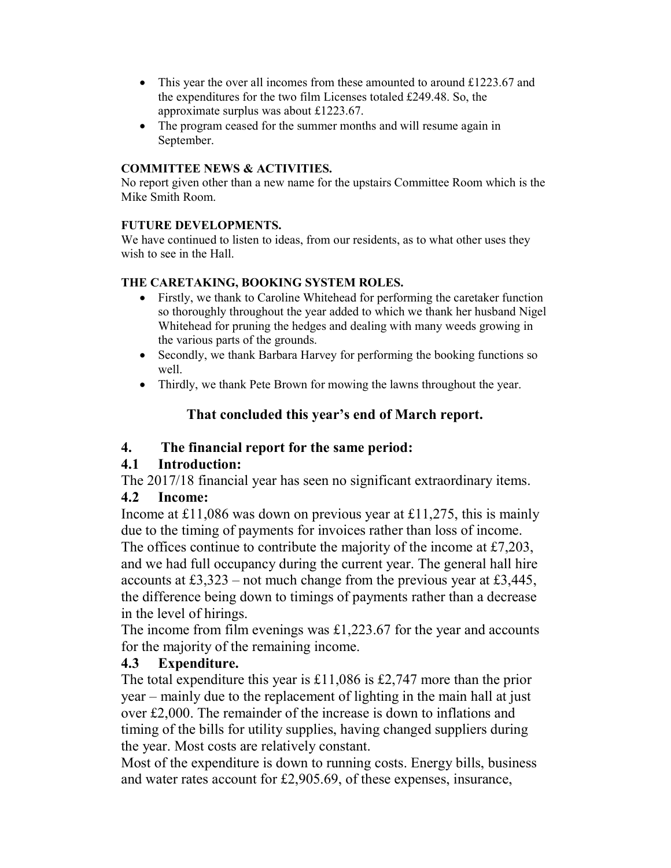- This year the over all incomes from these amounted to around £1223.67 and the expenditures for the two film Licenses totaled £249.48. So, the approximate surplus was about £1223.67.
- The program ceased for the summer months and will resume again in September.

#### COMMITTEE NEWS & ACTIVITIES.

No report given other than a new name for the upstairs Committee Room which is the Mike Smith Room.

#### FUTURE DEVELOPMENTS.

We have continued to listen to ideas, from our residents, as to what other uses they wish to see in the Hall.

#### THE CARETAKING, BOOKING SYSTEM ROLES.

- Firstly, we thank to Caroline Whitehead for performing the caretaker function so thoroughly throughout the year added to which we thank her husband Nigel Whitehead for pruning the hedges and dealing with many weeds growing in the various parts of the grounds.
- Secondly, we thank Barbara Harvey for performing the booking functions so well.
- Thirdly, we thank Pete Brown for mowing the lawns throughout the year.

## That concluded this year's end of March report.

#### 4. The financial report for the same period:

#### 4.1 Introduction:

The 2017/18 financial year has seen no significant extraordinary items.

## 4.2 Income:

Income at £11,086 was down on previous year at £11,275, this is mainly due to the timing of payments for invoices rather than loss of income.

The offices continue to contribute the majority of the income at £7,203, and we had full occupancy during the current year. The general hall hire accounts at £3,323 – not much change from the previous year at £3,445, the difference being down to timings of payments rather than a decrease in the level of hirings.

The income from film evenings was  $\pounds$ 1,223.67 for the year and accounts for the majority of the remaining income.

## 4.3 Expenditure.

The total expenditure this year is £11,086 is £2,747 more than the prior year – mainly due to the replacement of lighting in the main hall at just over £2,000. The remainder of the increase is down to inflations and timing of the bills for utility supplies, having changed suppliers during the year. Most costs are relatively constant.

Most of the expenditure is down to running costs. Energy bills, business and water rates account for £2,905.69, of these expenses, insurance,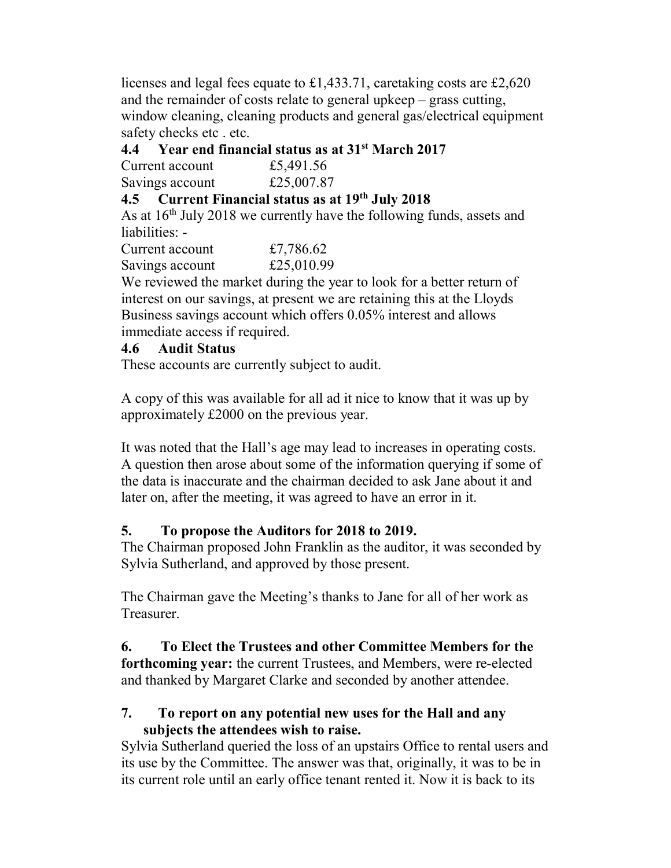licenses and legal fees equate to £1,433.71, caretaking costs are £2,620 and the remainder of costs relate to general upkeep – grass cutting, window cleaning, cleaning products and general gas/electrical equipment safety checks etc . etc.

## 4.4 Year end financial status as at  $31<sup>st</sup>$  March 2017

Current account £5,491.56 Savings account £25,007.87

## 4.5 Current Financial status as at 19<sup>th</sup> July 2018

As at  $16<sup>th</sup>$  July 2018 we currently have the following funds, assets and liabilities: -

Current account £7,786.62 Savings account £25,010.99

We reviewed the market during the year to look for a better return of interest on our savings, at present we are retaining this at the Lloyds Business savings account which offers 0.05% interest and allows immediate access if required.

## 4.6 Audit Status

These accounts are currently subject to audit.

A copy of this was available for all ad it nice to know that it was up by approximately £2000 on the previous year.

It was noted that the Hall's age may lead to increases in operating costs. A question then arose about some of the information querying if some of the data is inaccurate and the chairman decided to ask Jane about it and later on, after the meeting, it was agreed to have an error in it.

# 5. To propose the Auditors for 2018 to 2019.

The Chairman proposed John Franklin as the auditor, it was seconded by Sylvia Sutherland, and approved by those present.

The Chairman gave the Meeting's thanks to Jane for all of her work as Treasurer.

6. To Elect the Trustees and other Committee Members for the forthcoming year: the current Trustees, and Members, were re-elected and thanked by Margaret Clarke and seconded by another attendee.

## 7. To report on any potential new uses for the Hall and any subjects the attendees wish to raise.

Sylvia Sutherland queried the loss of an upstairs Office to rental users and its use by the Committee. The answer was that, originally, it was to be in its current role until an early office tenant rented it. Now it is back to its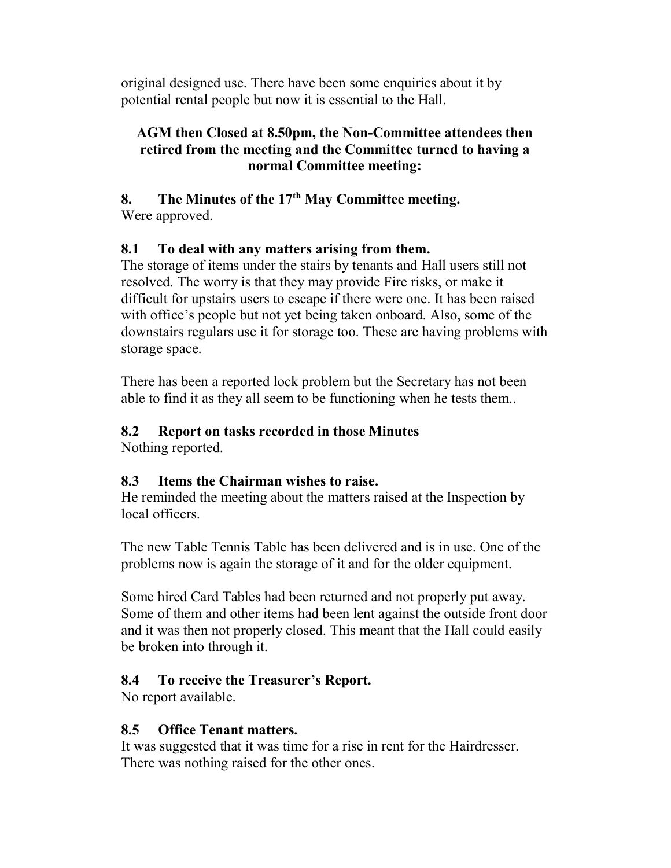original designed use. There have been some enquiries about it by potential rental people but now it is essential to the Hall.

## AGM then Closed at 8.50pm, the Non-Committee attendees then retired from the meeting and the Committee turned to having a normal Committee meeting:

## 8. The Minutes of the  $17<sup>th</sup>$  May Committee meeting. Were approved.

## 8.1 To deal with any matters arising from them.

The storage of items under the stairs by tenants and Hall users still not resolved. The worry is that they may provide Fire risks, or make it difficult for upstairs users to escape if there were one. It has been raised with office's people but not yet being taken onboard. Also, some of the downstairs regulars use it for storage too. These are having problems with storage space.

There has been a reported lock problem but the Secretary has not been able to find it as they all seem to be functioning when he tests them..

# 8.2 Report on tasks recorded in those Minutes

Nothing reported.

## 8.3 Items the Chairman wishes to raise.

He reminded the meeting about the matters raised at the Inspection by local officers.

The new Table Tennis Table has been delivered and is in use. One of the problems now is again the storage of it and for the older equipment.

Some hired Card Tables had been returned and not properly put away. Some of them and other items had been lent against the outside front door and it was then not properly closed. This meant that the Hall could easily be broken into through it.

# 8.4 To receive the Treasurer's Report.

No report available.

## 8.5 Office Tenant matters.

It was suggested that it was time for a rise in rent for the Hairdresser. There was nothing raised for the other ones.